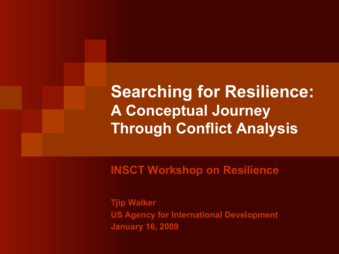**Searching for Resilience: A Conceptual Journey Through Conflict Analysis** 

**INSCT Workshop on Resilience** 

**Tjip Walker US Agency for International Development January 16, 2009**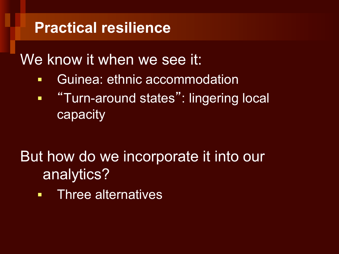### **Practical resilience**

### We know it when we see it:

- § Guinea: ethnic accommodation
- $\blacksquare$ "Turn-around states": lingering local capacity

## But how do we incorporate it into our analytics?

**• Three alternatives**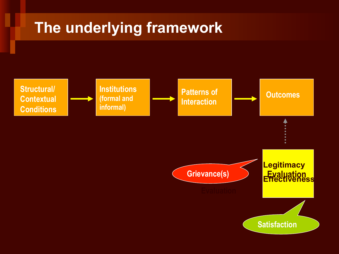### **The underlying framework**

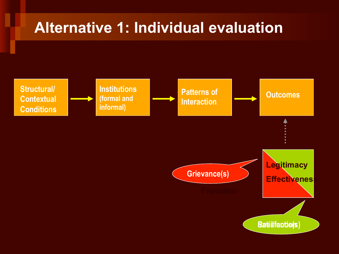### **Alternative 1: Individual evaluation**

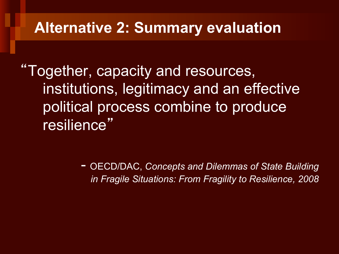#### **Alternative 2: Summary evaluation**

"Together, capacity and resources, institutions, legitimacy and an effective political process combine to produce resilience"

> - OECD/DAC, *Concepts and Dilemmas of State Building in Fragile Situations: From Fragility to Resilience, 2008*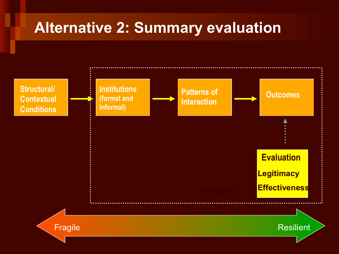### **Alternative 2: Summary evaluation**

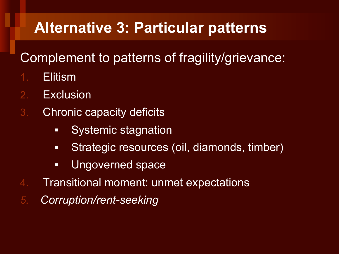### **Alternative 3: Particular patterns**

#### Complement to patterns of fragility/grievance:

- 1. Elitism
- 2. Exclusion
- 3. Chronic capacity deficits
	- Systemic stagnation
	- Strategic resources (oil, diamonds, timber)
	- § Ungoverned space
- 4. Transitional moment: unmet expectations
- *5. Corruption/rent-seeking*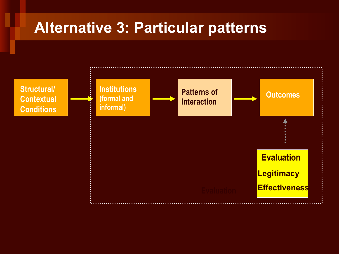#### **Alternative 3: Particular patterns**

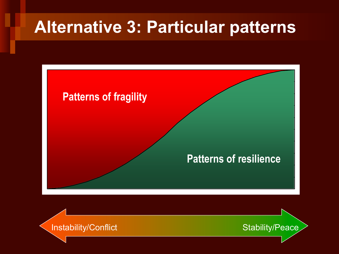# **Alternative 3: Particular patterns**



Instability/Conflict Stability/Peace